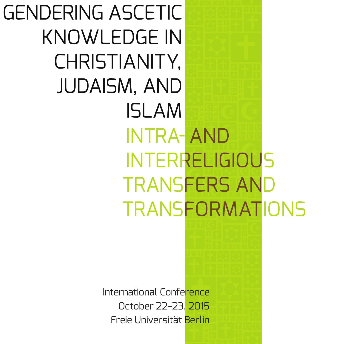International Conference GENDERING ASCETIC KNOWLEDGE IN CHRISTIANITY, JUDAISM, AND ISLAM INTRA- AND INTERRELIGIOUS TRANSFERS AND TRANSFORMATIONS

October 22–23, 2015 Freie Universität Berlin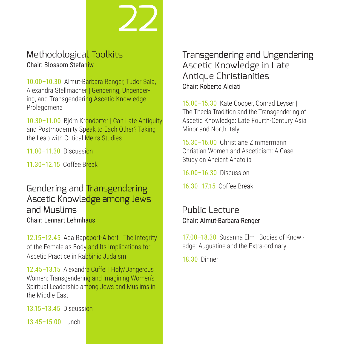# Methodological Toolkits Chair: Blossom Stefaniw

10.00–10.30 Almut-Barbara Renger, Tudor Sala, Alexandra Stellmacher | Gendering, Ungendering, and Transgendering Ascetic Knowledge: Prolegomena

22

10.30–11.00 Björn Krondorfer | Can Late Antiquity and Postmodernity Speak to Each Other? Taking the Leap with Critical Men's Studies

11.00–11.30 Discussion

11.30–12.15 Coffee Break

# Gendering and Transgendering Ascetic Knowledge among Jews and Muslims Chair: Lennart Lehmhaus

12.15–12.45 Ada Rapoport-Albert | The Integrity of the Female as Body and Its Implications for Ascetic Practice in Rabbinic Judaism

12.45–13.15 Alexandra Cuffel | Holy/Dangerous Women: Transgendering and Imagining Women's Spiritual Leadership among Jews and Muslims in the Middle East

13.15–13.45 Discussion

13.45–15.00 Lunch

# Transgendering and Ungendering Ascetic Knowledge in Late Antique Christianities Chair: Roberto Alciati

15.00–15.30 Kate Cooper, Conrad Leyser | The Thecla Tradition and the Transgendering of Ascetic Knowledge: Late Fourth-Century Asia Minor and North Italy

15.30–16.00 Christiane Zimmermann | Christian Women and Asceticism: A Case Study on Ancient Anatolia

16.00–16.30 Discussion

16.30–17.15 Coffee Break

#### Public Lecture Chair: Almut-Barbara Renger

17.00–18.30 Susanna Elm | Bodies of Knowledge: Augustine and the Extra-ordinary

18.30 Dinner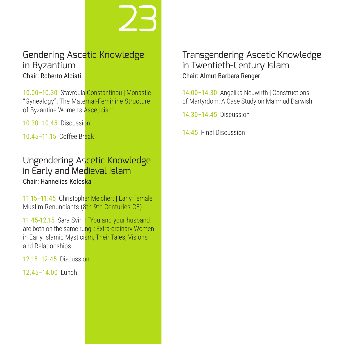# Gendering Ascetic Knowledge in Byzantium Chair: Roberto Alciati

23

10.00–10.30 Stavroula Constantinou | Monastic "Gynealogy": The Maternal-Feminine Structure of Byzantine Women's Asceticism

10.30–10.45 Discussion

10.45–11.15 Coffee Break

# Ungendering Ascetic Knowledge in Early and Medieval Islam Chair: Hannelies Koloska

11.15–11.45 Christopher Melchert | Early Female Muslim Renunciants (8th-9th Centuries CE)

11.45-12.15 Sara Sviri | "You and your husband are both on the same rung": Extra-ordinary Women in Early Islamic Mysticism, Their Tales, Visions and Relationships

12.15–12.45 Discussion

12.45–14.00 Lunch

# Transgendering Ascetic Knowledge in Twentieth-Century Islam Chair: Almut-Barbara Renger

14.00–14.30 Angelika Neuwirth | Constructions of Martyrdom: A Case Study on Mahmud Darwish

14.30–14.45 Discussion

14.45 Final Discussion